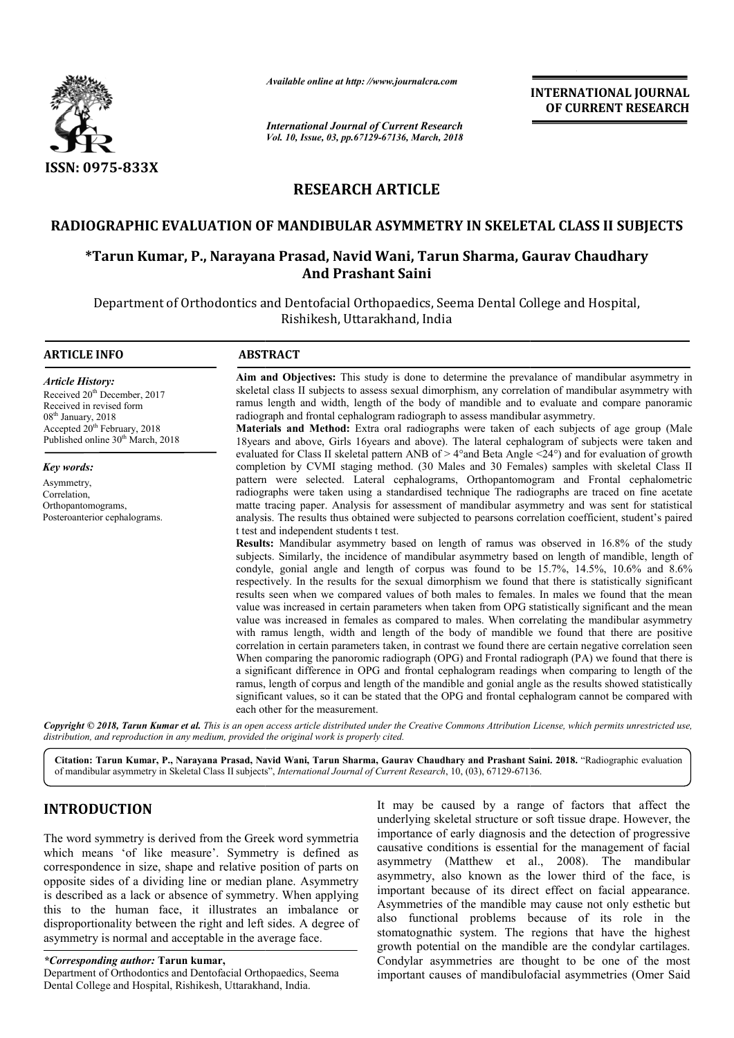

*Available online at http: //www.journalcra.com*

*International Journal of Current Research Vol. 10, Issue, 03, pp.67129-67136, March, 2018*

**INTERNATIONAL JOURNAL OF CURRENT RESEARCH**

# **RESEARCH ARTICLE**

# **RADIOGRAPHIC EVALUATION OF MANDIBULAR ASYMMETRY IN SKELETAL ASYMMETRY IN SKELETAL CLASS II SUBJECTS**

# **\*Tarun Kumar, P., Narayana Prasad, Navid Wani, Tarun Sharma, Gaurav Chaudhary Navid Tarun Sharma, And Prashant Saini**

Department of Orthodontics and Dentofacial Orthopaedics, Seema Dental College and Hospital, Rishikesh, Uttarakhand, India

| <b>ARTICLE INFO</b>                                                                                                                                                                                                            | <b>ABSTRACT</b>                                                                                                                                                                                                                                                                                                                                                                                                                                                                                                                                                                                                                                                                                                                                                                                                                                                                                                                                                                                                                                                                                                                                                                                                                                                                                                                                                                                                                                                                                                                                                                                                                                                                                                                                                                                                                                                      |
|--------------------------------------------------------------------------------------------------------------------------------------------------------------------------------------------------------------------------------|----------------------------------------------------------------------------------------------------------------------------------------------------------------------------------------------------------------------------------------------------------------------------------------------------------------------------------------------------------------------------------------------------------------------------------------------------------------------------------------------------------------------------------------------------------------------------------------------------------------------------------------------------------------------------------------------------------------------------------------------------------------------------------------------------------------------------------------------------------------------------------------------------------------------------------------------------------------------------------------------------------------------------------------------------------------------------------------------------------------------------------------------------------------------------------------------------------------------------------------------------------------------------------------------------------------------------------------------------------------------------------------------------------------------------------------------------------------------------------------------------------------------------------------------------------------------------------------------------------------------------------------------------------------------------------------------------------------------------------------------------------------------------------------------------------------------------------------------------------------------|
| <b>Article History:</b><br>Received 20 <sup>th</sup> December, 2017<br>Received in revised form<br>08 <sup>th</sup> January, 2018<br>Accepted 20 <sup>th</sup> February, 2018<br>Published online 30 <sup>th</sup> March, 2018 | Aim and Objectives: This study is done to determine the prevalance of mandibular asymmetry in<br>skeletal class II subjects to assess sexual dimorphism, any correlation of mandibular asymmetry with<br>ramus length and width, length of the body of mandible and to evaluate and compare panoramic<br>radiograph and frontal cephalogram radiograph to assess mandibular asymmetry.<br><b>Materials and Method:</b> Extra oral radiographs were taken of each subjects of age group (Male<br>18 years and above, Girls 16 years and above). The lateral cephalogram of subjects were taken and                                                                                                                                                                                                                                                                                                                                                                                                                                                                                                                                                                                                                                                                                                                                                                                                                                                                                                                                                                                                                                                                                                                                                                                                                                                                    |
| Key words:                                                                                                                                                                                                                     | evaluated for Class II skeletal pattern ANB of $> 4^{\circ}$ and Beta Angle $\leq 24^{\circ}$ and for evaluation of growth<br>completion by CVMI staging method. (30 Males and 30 Females) samples with skeletal Class II                                                                                                                                                                                                                                                                                                                                                                                                                                                                                                                                                                                                                                                                                                                                                                                                                                                                                                                                                                                                                                                                                                                                                                                                                                                                                                                                                                                                                                                                                                                                                                                                                                            |
| Asymmetry,<br>Correlation,<br>Orthopantomograms,<br>Posteroanterior cephalograms.                                                                                                                                              | pattern were selected. Lateral cephalograms, Orthopantomogram and Frontal cephalometric<br>radiographs were taken using a standardised technique The radiographs are traced on fine acetate<br>matte tracing paper. Analysis for assessment of mandibular asymmetry and was sent for statistical<br>analysis. The results thus obtained were subjected to pearsons correlation coefficient, student's paired<br>t test and independent students t test.<br>Results: Mandibular asymmetry based on length of ramus was observed in 16.8% of the study<br>subjects. Similarly, the incidence of mandibular asymmetry based on length of mandible, length of<br>condyle, gonial angle and length of corpus was found to be $15.7\%$ , $14.5\%$ , $10.6\%$ and $8.6\%$<br>respectively. In the results for the sexual dimorphism we found that there is statistically significant<br>results seen when we compared values of both males to females. In males we found that the mean<br>value was increased in certain parameters when taken from OPG statistically significant and the mean<br>value was increased in females as compared to males. When correlating the mandibular asymmetry<br>with ramus length, width and length of the body of mandible we found that there are positive<br>correlation in certain parameters taken, in contrast we found there are certain negative correlation seen<br>When comparing the panoromic radiograph (OPG) and Frontal radiograph (PA) we found that there is<br>a significant difference in OPG and frontal cephalogram readings when comparing to length of the<br>ramus, length of corpus and length of the mandible and gonial angle as the results showed statistically<br>significant values, so it can be stated that the OPG and frontal cephalogram cannot be compared with<br>each other for the measurement. |

Copyright © 2018, Tarun Kumar et al. This is an open access article distributed under the Creative Commons Attribution License, which permits unrestricted use, *distribution, and reproduction in any medium, provided the original work is properly cited.*

**Citation: Tarun Kumar, P., Narayana Prasad, Navid Wani, Tarun Sharma, Gaurav Chaudhary and Prashant Saini Saini. 2018.** "Radiographic evaluation of mandibular asymmetry in Skeletal Class II subjects", *International Journal of Current Research*, 10, (03), 67129-67136.

# **INTRODUCTION**

The word symmetry is derived from the Greek word symmetria which means 'of like measure'. Symmetry is defined as correspondence in size, shape and relative position of parts on opposite sides of a dividing line or median plane. Asymmetry is described as a lack or absence of symmetry. When applying this to the human face, it illustrates an imbalance or disproportionality between the right and left sides. A degree of asymmetry is normal and acceptable in the average face.

### *\*Corresponding author:* **Tarun kumar,**

Department of Orthodontics and Dentofacial Orthopaedics, Seema Dental College and Hospital, Rishikesh, Uttarakhand, India.

**ICTION**<br>
It may be caused by a range of factors that affect the<br>
underlying skeletal structure or soft tissue drape. However, the<br>
importance of early diagnosis and the detection of progressive<br>
its of like measure'. Symm underlying skeletal structure or soft tissue drape. However, the importance of early diagnosis and the detection of progressive causative conditions is essential for the management of facial asymmetry (Matthew et al., 2008). The mandibular asymmetry, also known as the lower third of the face, is important because of its direct effect on facial appearance. Asymmetries of the mandible may cause not only esthetic but asymmetry, also known as the lower third of the face, is<br>important because of its direct effect on facial appearance.<br>Asymmetries of the mandible may cause not only esthetic but<br>also functional problems because of its role stomatognathic system. The regions that have the highest growth potential on the mandible are the condylar cartilages. Condylar asymmetries are thought to be one of the most important causes of mandibulofacial asymmetries (Omer Said a range of factors that affect the letal structure or soft tissue drape. However, the early diagnosis and the detection of progressive litions is essential for the management of facial Matthew et al., 2008). The mandibular stomatognathic system. The regions that have the highest<br>growth potential on the mandible are the condylar cartilages.<br>Condylar asymmetries are thought to be one of the most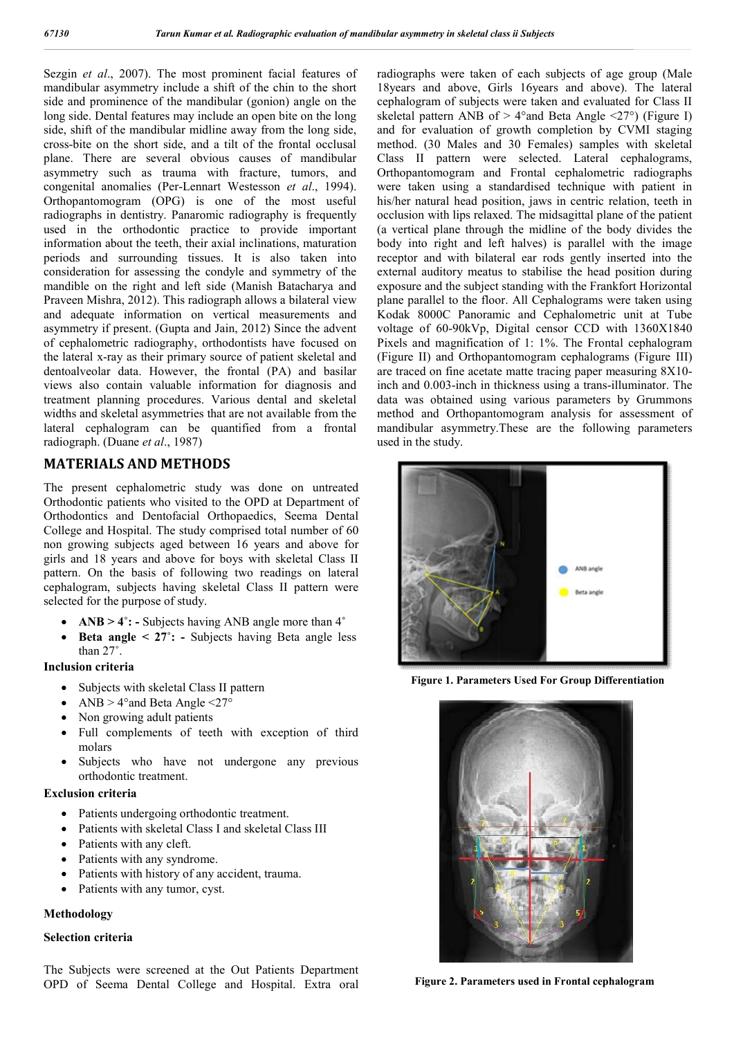Sezgin *et al*., 2007). The most prominent facial features of mandibular asymmetry include a shift of the chin to the short side and prominence of the mandibular (gonion) angle on the long side. Dental features may include an open bite on the long side, shift of the mandibular midline away from the long side, cross-bite on the short side, and a tilt of the frontal occlusal plane. There are several obvious causes of mandibular asymmetry such as trauma with fracture, tumors, and congenital anomalies (Per-Lennart Westesson *et al*., 1994). Orthopantomogram (OPG) is one of the most useful radiographs in dentistry. Panaromic radiography is frequently used in the orthodontic practice to provide important information about the teeth, their axial inclinations, maturation periods and surrounding tissues. It is also taken into consideration for assessing the condyle and symmetry of the mandible on the right and left side (Manish Batacharya and Praveen Mishra, 2012). This radiograph allows a bilateral view and adequate information on vertical measurements and asymmetry if present. (Gupta and Jain, 2012) Since the advent of cephalometric radiography, orthodontists have focused on the lateral x-ray as their primary source of patient skeletal and dentoalveolar data. However, the frontal (PA) and basilar views also contain valuable information for diagnosis and treatment planning procedures. Various dental and skeletal widths and skeletal asymmetries that are not available from the lateral cephalogram can be quantified from a frontal radiograph. (Duane *et al*., 1987)

# **MATERIALS AND METHODS**

The present cephalometric study was done on untreated Orthodontic patients who visited to the OPD at Department of Orthodontics and Dentofacial Orthopaedics, Seema Dental College and Hospital. The study comprised total number of 60 non growing subjects aged between 16 years and above for girls and 18 years and above for boys with skeletal Class II pattern. On the basis of following two readings on lateral cephalogram, subjects having skeletal Class II pattern were selected for the purpose of study.

- **ANB > 4˚: -** Subjects having ANB angle more than 4**˚**
- **Beta angle < 27˚: -** Subjects having Beta angle less than 27˚.

### **Inclusion criteria**

- Subjects with skeletal Class II pattern
- ANB  $> 4^{\circ}$  and Beta Angle  $\leq$ 27°
- Non growing adult patients
- Full complements of teeth with exception of third molars
- Subjects who have not undergone any previous orthodontic treatment.

### **Exclusion criteria**

- Patients undergoing orthodontic treatment.
- Patients with skeletal Class I and skeletal Class III
- Patients with any cleft.
- Patients with any syndrome.
- Patients with history of any accident, trauma.
- Patients with any tumor, cyst.

### **Methodology**

### **Selection criteria**

The Subjects were screened at the Out Patients Department OPD of Seema Dental College and Hospital. Extra oral radiographs were taken of each subjects of age group (Male 18years and above, Girls 16years and above). The lateral cephalogram of subjects were taken and evaluated for Class II skeletal pattern ANB of  $> 4^{\circ}$  and Beta Angle  $\leq$ 27°) (Figure I) and for evaluation of growth completion by CVMI staging method. (30 Males and 30 Females) samples with skeletal Class II pattern were selected. Lateral cephalograms, Orthopantomogram and Frontal cephalometric radiographs were taken using a standardised technique with patient in his/her natural head position, jaws in centric relation, teeth in occlusion with lips relaxed. The midsagittal plane of the patient (a vertical plane through the midline of the body divides the body into right and left halves) is parallel with the image receptor and with bilateral ear rods gently inserted into the external auditory meatus to stabilise the head position during exposure and the subject standing with the Frankfort Horizontal plane parallel to the floor. All Cephalograms were taken using Kodak 8000C Panoramic and Cephalometric unit at Tube voltage of 60-90kVp, Digital censor CCD with 1360X1840 Pixels and magnification of 1: 1%. The Frontal cephalogram (Figure II) and Orthopantomogram cephalograms (Figure III) are traced on fine acetate matte tracing paper measuring 8X10 inch and 0.003-inch in thickness using a trans-illuminator. The data was obtained using various parameters by Grummons method and Orthopantomogram analysis for assessment of mandibular asymmetry.These are the following parameters used in the study.



 **Figure 1. Parameters Used For Group Differentiation**



**Figure 2. Parameters used in Frontal cephalogram**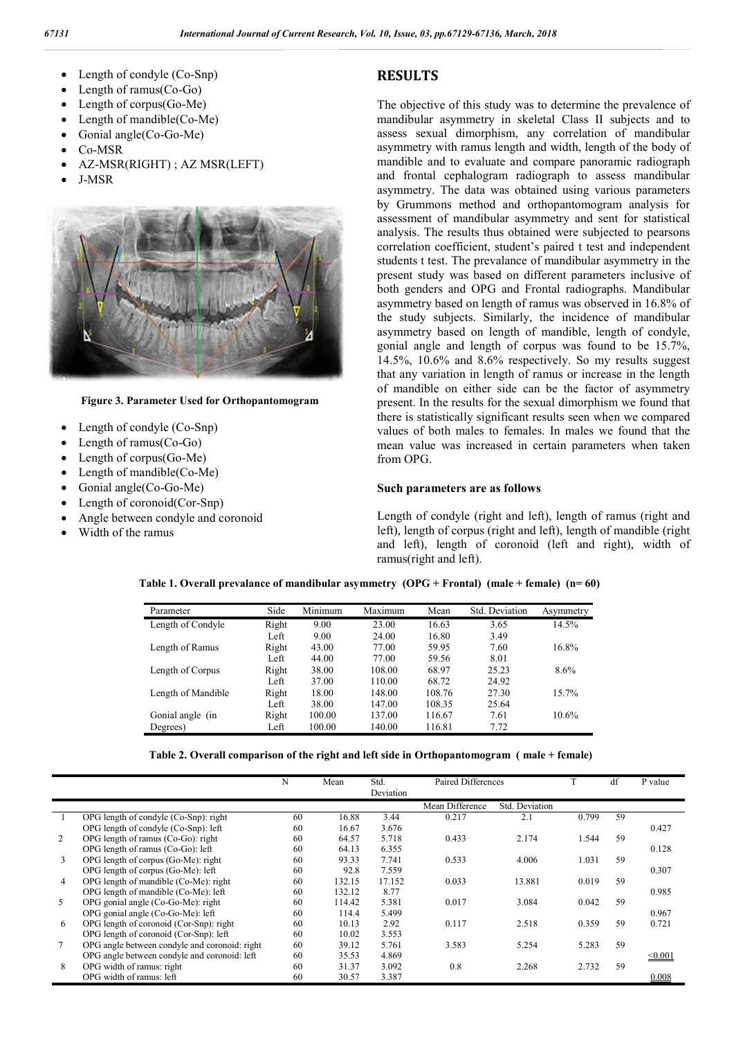- Length of condyle (Co-Snp)
- Length of ramus(Co-Go)
- Length of corpus(Go-Me)
- Length of mandible(Co-Me)
- Gonial angle(Co-Go-Me)
- Co-MSR
- AZ-MSR(RIGHT) ; AZ MSR(LEFT)
- J-MSR



#### **Figure 3. Parameter Used for Orthopantomogram**

- Length of condyle (Co-Snp)
- Length of ramus(Co-Go)
- Length of corpus(Go-Me)
- Length of mandible(Co-Me)
- Gonial angle(Co-Go-Me)
- Length of coronoid(Cor-Snp)
- Angle between condyle and coronoid
- Width of the ramus

## **RESULTS**

The objective of this study was to determine the prevalence of mandibular asymmetry in skeletal Class II subjects and to assess sexual dimorphism, any correlation of mandibular asymmetry with ramus length and width, length of the body of mandible and to evaluate and compare panoramic radiograph and frontal cephalogram radiograph to assess mandibular asymmetry. The data was obtained using various parameters by Grummons method and orthopantomogram analysis for assessment of mandibular asymmetry and sent for statistical analysis. The results thus obtained were subjected to pearsons correlation coefficient, student's paired t test and independent students t test. The prevalance of mandibular asymmetry in the present study was based on different parameters inclusive of both genders and OPG and Frontal radiographs. Mandibular asymmetry based on length of ramus was observed in 16.8% of the study subjects. Similarly, the incidence of mandibular asymmetry based on length of mandible, length of condyle, gonial angle and length of corpus was found to be 15.7%, 14.5%, 10.6% and 8.6% respectively. So my results suggest that any variation in length of ramus or increase in the length of mandible on either side can be the factor of asymmetry present. In the results for the sexual dimorphism we found that there is statistically significant results seen when we compared values of both males to females. In males we found that the mean value was increased in certain parameters when taken from OPG.

#### **Such parameters are as follows**

Length of condyle (right and left), length of ramus (right and left), length of corpus (right and left), length of mandible (right and left), length of coronoid (left and right), width of ramus(right and left).

| Parameter          | Side  | Minimum | Maximum | Mean   | Std. Deviation | Asymmetry |
|--------------------|-------|---------|---------|--------|----------------|-----------|
| Length of Condyle  | Right | 9.00    | 23.00   | 16.63  | 3.65           | 14.5%     |
|                    | Left  | 9.00    | 24.00   | 16.80  | 3.49           |           |
| Length of Ramus    | Right | 43.00   | 77.00   | 59.95  | 7.60           | 16.8%     |
|                    | Left  | 44.00   | 77.00   | 59.56  | 8.01           |           |
| Length of Corpus   | Right | 38.00   | 108.00  | 68.97  | 25.23          | $8.6\%$   |
|                    | Left  | 37.00   | 110.00  | 68.72  | 24.92          |           |
| Length of Mandible | Right | 18.00   | 148.00  | 108.76 | 27.30          | 15.7%     |
|                    | Left  | 38.00   | 147.00  | 108.35 | 25.64          |           |
| Gonial angle (in   | Right | 100.00  | 137.00  | 116.67 | 7.61           | $10.6\%$  |
| Degrees)           | Left  | 100.00  | 140.00  | 116.81 | 7.72           |           |

#### **Table 1. Overall prevalance of mandibular asymmetry (OPG + Frontal) (male + female) (n= 60)**

**Table 2. Overall comparison of the right and left side in Orthopantomogram ( male + female)**

|                |                                               | N  | Mean   | Std.      | <b>Paired Differences</b> |                | m     | df | P value      |
|----------------|-----------------------------------------------|----|--------|-----------|---------------------------|----------------|-------|----|--------------|
|                |                                               |    |        | Deviation |                           |                |       |    |              |
|                |                                               |    |        |           | Mean Difference           | Std. Deviation |       |    |              |
|                | OPG length of condyle (Co-Snp): right         | 60 | 16.88  | 3.44      | 0.217                     | 2.1            | 0.799 | 59 |              |
|                | OPG length of condyle (Co-Snp): left          | 60 | 16.67  | 3.676     |                           |                |       |    | 0.427        |
| 2              | OPG length of ramus (Co-Go): right            | 60 | 64.57  | 5.718     | 0.433                     | 2.174          | 1.544 | 59 |              |
|                | OPG length of ramus (Co-Go): left             | 60 | 64.13  | 6.355     |                           |                |       |    | 0.128        |
| 3              | OPG length of corpus (Go-Me): right           | 60 | 93.33  | 7.741     | 0.533                     | 4.006          | 1.031 | 59 |              |
|                | OPG length of corpus (Go-Me): left            | 60 | 92.8   | 7.559     |                           |                |       |    | 0.307        |
| $\overline{4}$ | OPG length of mandible (Co-Me): right         | 60 | 132.15 | 17.152    | 0.033                     | 13.881         | 0.019 | 59 |              |
|                | OPG length of mandible (Co-Me): left          | 60 | 132.12 | 8.77      |                           |                |       |    | 0.985        |
| 5              | OPG gonial angle (Co-Go-Me): right            | 60 | 114.42 | 5.381     | 0.017                     | 3.084          | 0.042 | 59 |              |
|                | OPG gonial angle (Co-Go-Me): left             | 60 | 114.4  | 5.499     |                           |                |       |    | 0.967        |
| 6              | OPG length of coronoid (Cor-Snp): right       | 60 | 10.13  | 2.92      | 0.117                     | 2.518          | 0.359 | 59 | 0.721        |
|                | OPG length of coronoid (Cor-Snp): left        | 60 | 10.02  | 3.553     |                           |                |       |    |              |
|                | OPG angle between condyle and coronoid: right | 60 | 39.12  | 5.761     | 3.583                     | 5.254          | 5.283 | 59 |              |
|                | OPG angle between condyle and coronoid: left  | 60 | 35.53  | 4.869     |                           |                |       |    | $\leq 0.001$ |
| 8              | OPG width of ramus: right                     | 60 | 31.37  | 3.092     | 0.8                       | 2.268          | 2.732 | 59 |              |
|                | OPG width of ramus: left                      | 60 | 30.57  | 3.387     |                           |                |       |    | 0.008        |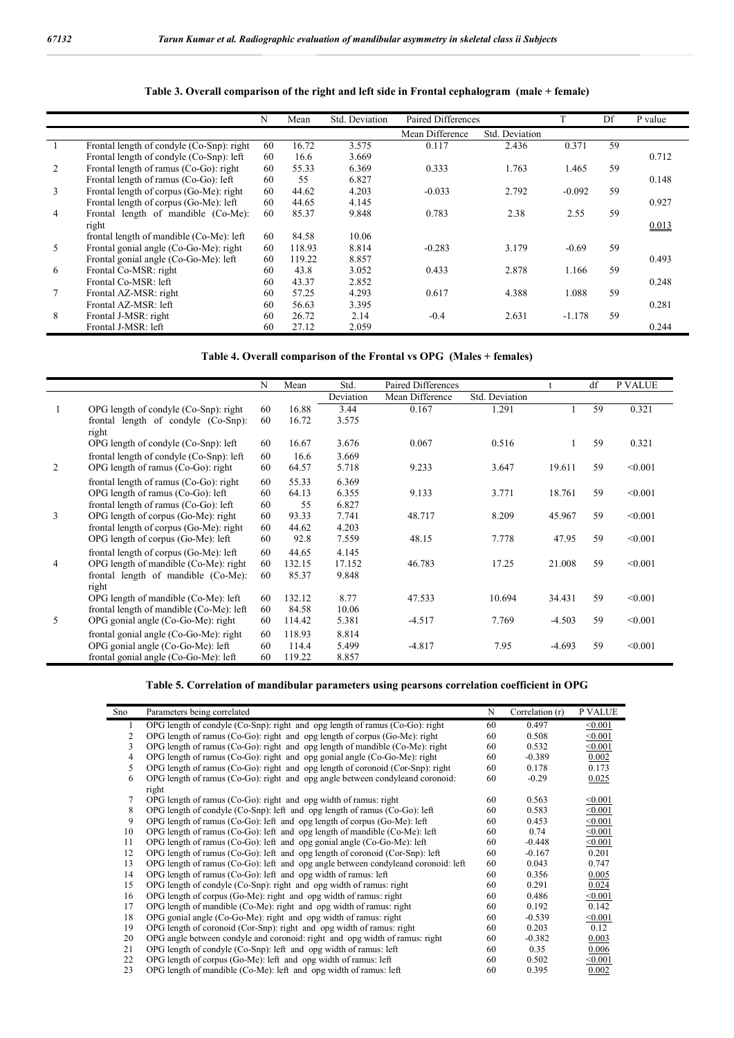|                |                                           | N  | Mean   | Std. Deviation | Paired Differences |                |          | Df | P value |
|----------------|-------------------------------------------|----|--------|----------------|--------------------|----------------|----------|----|---------|
|                |                                           |    |        |                | Mean Difference    | Std. Deviation |          |    |         |
|                | Frontal length of condyle (Co-Snp): right | 60 | 16.72  | 3.575          | 0.117              | 2.436          | 0.371    | 59 |         |
|                | Frontal length of condyle (Co-Snp): left  | 60 | 16.6   | 3.669          |                    |                |          |    | 0.712   |
| 2              | Frontal length of ramus (Co-Go): right    | 60 | 55.33  | 6.369          | 0.333              | 1.763          | 1.465    | 59 |         |
|                | Frontal length of ramus (Co-Go): left     | 60 | 55     | 6.827          |                    |                |          |    | 0.148   |
| 3              | Frontal length of corpus (Go-Me): right   | 60 | 44.62  | 4.203          | $-0.033$           | 2.792          | $-0.092$ | 59 |         |
|                | Frontal length of corpus (Go-Me): left    | 60 | 44.65  | 4.145          |                    |                |          |    | 0.927   |
| $\overline{4}$ | Frontal length of mandible (Co-Me):       | 60 | 85.37  | 9.848          | 0.783              | 2.38           | 2.55     | 59 |         |
|                | right                                     |    |        |                |                    |                |          |    | 0.013   |
|                | frontal length of mandible (Co-Me): left  | 60 | 84.58  | 10.06          |                    |                |          |    |         |
| 5              | Frontal gonial angle (Co-Go-Me): right    | 60 | 118.93 | 8.814          | $-0.283$           | 3.179          | $-0.69$  | 59 |         |
|                | Frontal gonial angle (Co-Go-Me): left     | 60 | 119.22 | 8.857          |                    |                |          |    | 0.493   |
| 6              | Frontal Co-MSR: right                     | 60 | 43.8   | 3.052          | 0.433              | 2.878          | 1.166    | 59 |         |
|                | Frontal Co-MSR: left                      | 60 | 43.37  | 2.852          |                    |                |          |    | 0.248   |
| $\tau$         | Frontal AZ-MSR: right                     | 60 | 57.25  | 4.293          | 0.617              | 4.388          | 1.088    | 59 |         |
|                | Frontal AZ-MSR: left                      | 60 | 56.63  | 3.395          |                    |                |          |    | 0.281   |
| 8              | Frontal J-MSR: right                      | 60 | 26.72  | 2.14           | $-0.4$             | 2.631          | $-1.178$ | 59 |         |
|                | Frontal J-MSR: left                       | 60 | 27.12  | 2.059          |                    |                |          |    | 0.244   |

### **Table 3. Overall comparison of the right and left side in Frontal cephalogram (male + female)**

**Table 4. Overall comparison of the Frontal vs OPG (Males + females)**

|                |                                                                             | N        | Mean            | Std.           | Paired Differences |                |          | df | P VALUE |
|----------------|-----------------------------------------------------------------------------|----------|-----------------|----------------|--------------------|----------------|----------|----|---------|
|                |                                                                             |          |                 | Deviation      | Mean Difference    | Std. Deviation |          |    |         |
|                | OPG length of condyle (Co-Snp): right                                       | 60       | 16.88           | 3.44           | 0.167              | 1.291          |          | 59 | 0.321   |
|                | frontal length of condyle (Co-Snp):<br>right                                | 60       | 16.72           | 3.575          |                    |                |          |    |         |
|                | OPG length of condyle (Co-Snp): left                                        | 60       | 16.67           | 3.676          | 0.067              | 0.516          |          | 59 | 0.321   |
|                | frontal length of condyle (Co-Snp): left                                    | 60       | 16.6            | 3.669          |                    |                |          |    |         |
| 2              | OPG length of ramus (Co-Go): right                                          | 60       | 64.57           | 5.718          | 9.233              | 3.647          | 19.611   | 59 | < 0.001 |
|                | frontal length of ramus $(Co-Go)$ : right                                   | 60       | 55.33           | 6.369          |                    |                |          |    |         |
|                | OPG length of ramus (Co-Go): left                                           | 60       | 64.13           | 6.355          | 9.133              | 3.771          | 18.761   | 59 | < 0.001 |
|                | frontal length of ramus (Co-Go): left                                       | 60       | 55              | 6.827          |                    |                |          |    |         |
| 3              | OPG length of corpus (Go-Me): right                                         | 60       | 93.33           | 7.741          | 48.717             | 8.209          | 45.967   | 59 | < 0.001 |
|                | frontal length of corpus (Go-Me): right                                     | 60       | 44.62           | 4.203          |                    |                |          |    |         |
|                | OPG length of corpus (Go-Me): left                                          | 60       | 92.8            | 7.559          | 48.15              | 7.778          | 47.95    | 59 | < 0.001 |
|                | frontal length of corpus (Go-Me): left                                      | 60       | 44.65           | 4.145          |                    |                |          |    |         |
| $\overline{4}$ | OPG length of mandible (Co-Me): right                                       | 60       | 132.15          | 17.152         | 46.783             | 17.25          | 21.008   | 59 | < 0.001 |
|                | frontal length of mandible (Co-Me):                                         | 60       | 85.37           | 9.848          |                    |                |          |    |         |
|                | right<br>OPG length of mandible (Co-Me): left                               | 60       | 132.12          | 8.77           | 47.533             | 10.694         | 34.431   | 59 | < 0.001 |
|                | frontal length of mandible (Co-Me): left                                    | 60       | 84.58           | 10.06          |                    |                |          |    |         |
| 5              | OPG gonial angle (Co-Go-Me): right                                          | 60       | 114.42          | 5.381          | $-4.517$           | 7.769          | $-4.503$ | 59 | < 0.001 |
|                |                                                                             |          |                 |                |                    |                |          |    |         |
|                | frontal gonial angle (Co-Go-Me): right<br>OPG gonial angle (Co-Go-Me): left | 60<br>60 | 118.93<br>114.4 | 8.814<br>5.499 | $-4.817$           | 7.95           | $-4.693$ | 59 | < 0.001 |
|                | frontal gonial angle (Co-Go-Me): left                                       | 60       | 119.22          | 8.857          |                    |                |          |    |         |
|                |                                                                             |          |                 |                |                    |                |          |    |         |

### **Table 5. Correlation of mandibular parameters using pearsons correlation coefficient in OPG**

| Sno | Parameters being correlated                                                          | N  | Correlation (r) | P VALUE |
|-----|--------------------------------------------------------------------------------------|----|-----------------|---------|
| 1   | OPG length of condyle (Co-Snp): right and opg length of ramus (Co-Go): right         | 60 | 0.497           | < 0.001 |
| 2   | OPG length of ramus (Co-Go): right and opg length of corpus (Go-Me): right           | 60 | 0.508           | < 0.001 |
| 3   | OPG length of ramus ( $Co-Go$ ): right and opg length of mandible ( $Co-Me$ ): right | 60 | 0.532           | < 0.001 |
| 4   | OPG length of ramus (Co-Go): right and opg gonial angle (Co-Go-Me): right            | 60 | $-0.389$        | 0.002   |
| 5   | OPG length of ramus (Co-Go): right and opg length of coronoid (Cor-Snp): right       | 60 | 0.178           | 0.173   |
| 6   | OPG length of ramus (Co-Go): right and opg angle between condyleand coronoid:        | 60 | $-0.29$         | 0.025   |
|     | right                                                                                |    |                 |         |
| 7   | OPG length of ramus (Co-Go): right and opg width of ramus: right                     | 60 | 0.563           | < 0.001 |
| 8   | OPG length of condyle (Co-Snp): left and opg length of ramus (Co-Go): left           | 60 | 0.583           | < 0.001 |
| 9   | OPG length of ramus $(Co-Go)$ : left and opg length of corpus $(Go-Me)$ : left       | 60 | 0.453           | < 0.001 |
| 10  | OPG length of ramus (Co-Go): left and opg length of mandible (Co-Me): left           | 60 | 0.74            | < 0.001 |
| 11  | OPG length of ramus (Co-Go): left and opg gonial angle (Co-Go-Me): left              | 60 | $-0.448$        | < 0.001 |
| 12  | OPG length of ramus (Co-Go): left and opg length of coronoid (Cor-Snp): left         | 60 | $-0.167$        | 0.201   |
| 13  | OPG length of ramus (Co-Go): left and opg angle between condyleand coronoid: left    | 60 | 0.043           | 0.747   |
| 14  | OPG length of ramus (Co-Go): left and opg width of ramus: left                       | 60 | 0.356           | 0.005   |
| 15  | OPG length of condyle (Co-Snp): right and opg width of ramus: right                  | 60 | 0.291           | 0.024   |
| 16  | OPG length of corpus (Go-Me): right and opg width of ramus: right                    | 60 | 0.486           | < 0.001 |
| 17  | OPG length of mandible (Co-Me): right and opg width of ramus: right                  | 60 | 0.192           | 0.142   |
| 18  | OPG gonial angle (Co-Go-Me): right and opg width of ramus: right                     | 60 | $-0.539$        | < 0.001 |
| 19  | OPG length of coronoid (Cor-Snp): right and opg width of ramus: right                | 60 | 0.203           | 0.12    |
| 20  | OPG angle between condyle and coronoid: right and opg width of ramus: right          | 60 | $-0.382$        | 0.003   |
| 21  | OPG length of condyle (Co-Snp): left and opg width of ramus: left                    | 60 | 0.35            | 0.006   |
| 22  | OPG length of corpus (Go-Me): left and opg width of ramus: left                      | 60 | 0.502           | < 0.001 |
| 23  | OPG length of mandible (Co-Me): left and opg width of ramus: left                    | 60 | 0.395           | 0.002   |
|     |                                                                                      |    |                 |         |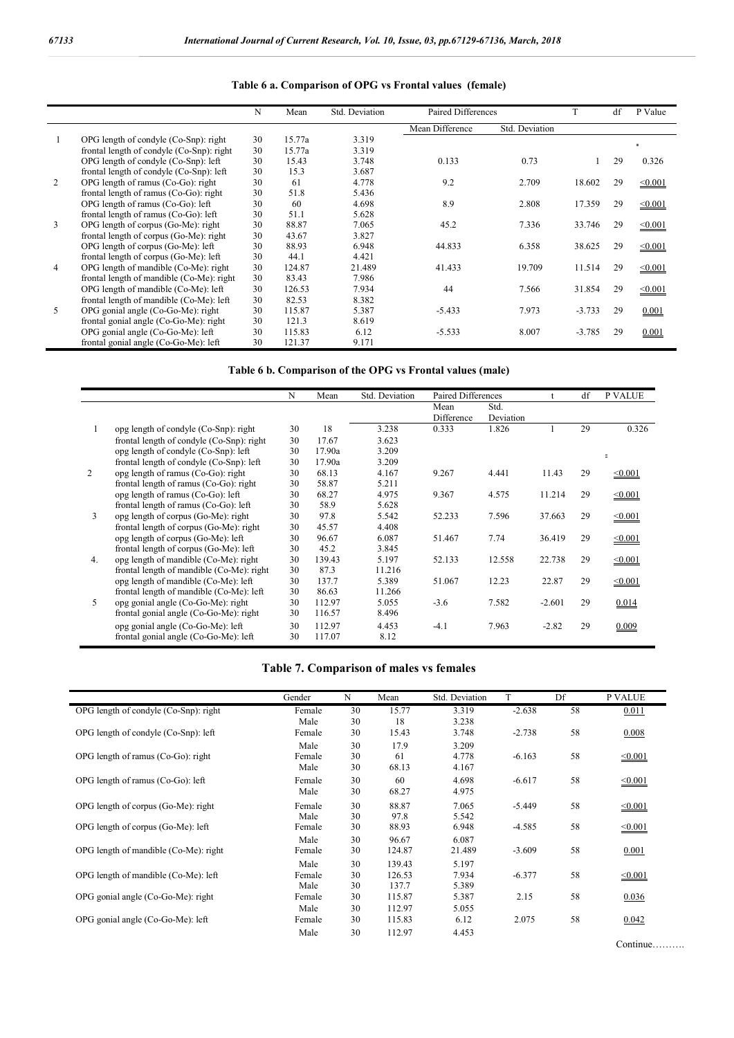|   |                                           | N  | Mean   | Std. Deviation | Paired Differences |                | T        | df | P Value      |
|---|-------------------------------------------|----|--------|----------------|--------------------|----------------|----------|----|--------------|
|   |                                           |    |        |                | Mean Difference    | Std. Deviation |          |    |              |
|   | OPG length of condyle (Co-Snp): right     | 30 | 15.77a | 3.319          |                    |                |          |    | $=$          |
|   | frontal length of condyle (Co-Snp): right | 30 | 15.77a | 3.319          |                    |                |          |    |              |
|   | OPG length of condyle (Co-Snp): left      | 30 | 15.43  | 3.748          | 0.133              | 0.73           |          | 29 | 0.326        |
|   | frontal length of condyle (Co-Snp): left  | 30 | 15.3   | 3.687          |                    |                |          |    |              |
| 2 | OPG length of ramus $(Co-Go)$ : right     | 30 | 61     | 4.778          | 9.2                | 2.709          | 18.602   | 29 | $\leq 0.001$ |
|   | frontal length of ramus (Co-Go): right    | 30 | 51.8   | 5.436          |                    |                |          |    |              |
|   | OPG length of ramus (Co-Go): left         | 30 | 60     | 4.698          | 8.9                | 2.808          | 17.359   | 29 | $\leq 0.001$ |
|   | frontal length of ramus (Co-Go): left     | 30 | 51.1   | 5.628          |                    |                |          |    |              |
| 3 | OPG length of corpus (Go-Me): right       | 30 | 88.87  | 7.065          | 45.2               | 7.336          | 33.746   | 29 | $\leq 0.001$ |
|   | frontal length of corpus (Go-Me): right   | 30 | 43.67  | 3.827          |                    |                |          |    |              |
|   | OPG length of corpus (Go-Me): left        | 30 | 88.93  | 6.948          | 44.833             | 6.358          | 38.625   | 29 | $\leq 0.001$ |
|   | frontal length of corpus (Go-Me): left    | 30 | 44.1   | 4.421          |                    |                |          |    |              |
| 4 | OPG length of mandible (Co-Me): right     | 30 | 124.87 | 21.489         | 41.433             | 19.709         | 11.514   | 29 | $\leq 0.001$ |
|   | frontal length of mandible (Co-Me): right | 30 | 83.43  | 7.986          |                    |                |          |    |              |
|   | OPG length of mandible (Co-Me): left      | 30 | 126.53 | 7.934          | 44                 | 7.566          | 31.854   | 29 | $\leq 0.001$ |
|   | frontal length of mandible (Co-Me): left  | 30 | 82.53  | 8.382          |                    |                |          |    |              |
| 5 | OPG gonial angle (Co-Go-Me): right        | 30 | 115.87 | 5.387          | $-5.433$           | 7.973          | $-3.733$ | 29 | 0.001        |
|   | frontal gonial angle (Co-Go-Me): right    | 30 | 121.3  | 8.619          |                    |                |          |    |              |
|   | OPG gonial angle (Co-Go-Me): left         | 30 | 115.83 | 6.12           | $-5.533$           | 8.007          | $-3.785$ | 29 | 0.001        |
|   | frontal gonial angle (Co-Go-Me): left     | 30 | 121.37 | 9.171          |                    |                |          |    |              |

### **Table 6 a. Comparison of OPG vs Frontal values (female)**

**Table 6 b. Comparison of the OPG vs Frontal values (male)**

|                |                                           | N  | Mean   | Std. Deviation | Paired Differences |                   |          | df | <b>P VALUE</b> |
|----------------|-------------------------------------------|----|--------|----------------|--------------------|-------------------|----------|----|----------------|
|                |                                           |    |        |                | Mean<br>Difference | Std.<br>Deviation |          |    |                |
| 1              | opg length of condyle (Co-Snp): right     | 30 | 18     | 3.238          | 0.333              | 1.826             |          | 29 | 0.326          |
|                | frontal length of condyle (Co-Snp): right | 30 | 17.67  | 3.623          |                    |                   |          |    |                |
|                | opg length of condyle (Co-Snp): left      | 30 | 17.90a | 3.209          |                    |                   |          |    | $\equiv$       |
|                | frontal length of condyle (Co-Snp): left  | 30 | 17.90a | 3.209          |                    |                   |          |    |                |
| $\overline{2}$ | opg length of ramus (Co-Go): right        | 30 | 68.13  | 4.167          | 9.267              | 4.441             | 11.43    | 29 | $\leq 0.001$   |
|                | frontal length of ramus (Co-Go): right    | 30 | 58.87  | 5.211          |                    |                   |          |    |                |
|                | opg length of ramus (Co-Go): left         | 30 | 68.27  | 4.975          | 9.367              | 4.575             | 11.214   | 29 | $\leq 0.001$   |
|                | frontal length of ramus (Co-Go): left     | 30 | 58.9   | 5.628          |                    |                   |          |    |                |
| 3              | opg length of corpus (Go-Me): right       | 30 | 97.8   | 5.542          | 52.233             | 7.596             | 37.663   | 29 | $\leq 0.001$   |
|                | frontal length of corpus (Go-Me): right   | 30 | 45.57  | 4.408          |                    |                   |          |    |                |
|                | opg length of corpus (Go-Me): left        | 30 | 96.67  | 6.087          | 51.467             | 7.74              | 36.419   | 29 | $\leq 0.001$   |
|                | frontal length of corpus (Go-Me): left    | 30 | 45.2   | 3.845          |                    |                   |          |    |                |
| 4 <sub>1</sub> | opg length of mandible (Co-Me): right     | 30 | 139.43 | 5.197          | 52.133             | 12.558            | 22.738   | 29 | $\leq 0.001$   |
|                | frontal length of mandible (Co-Me): right | 30 | 87.3   | 11.216         |                    |                   |          |    |                |
|                | opg length of mandible (Co-Me): left      | 30 | 137.7  | 5.389          | 51.067             | 12.23             | 22.87    | 29 | $\leq 0.001$   |
|                | frontal length of mandible (Co-Me): left  | 30 | 86.63  | 11.266         |                    |                   |          |    |                |
| 5              | opg gonial angle (Co-Go-Me): right        | 30 | 112.97 | 5.055          | $-3.6$             | 7.582             | $-2.601$ | 29 | 0.014          |
|                | frontal gonial angle (Co-Go-Me): right    | 30 | 116.57 | 8.496          |                    |                   |          |    |                |
|                | opg gonial angle (Co-Go-Me): left         | 30 | 112.97 | 4.453          | $-4.1$             | 7.963             | $-2.82$  | 29 | 0.009          |
|                | frontal gonial angle (Co-Go-Me): left     | 30 | 117.07 | 8.12           |                    |                   |          |    |                |

### **Table 7. Comparison of males vs females**

|                                       | Gender | N  | Mean   | Std. Deviation |          | Df | <b>P VALUE</b> |
|---------------------------------------|--------|----|--------|----------------|----------|----|----------------|
| OPG length of condyle (Co-Snp): right | Female | 30 | 15.77  | 3.319          | $-2.638$ | 58 | 0.011          |
|                                       | Male   | 30 | 18     | 3.238          |          |    |                |
| OPG length of condyle (Co-Snp): left  | Female | 30 | 15.43  | 3.748          | $-2.738$ | 58 | 0.008          |
|                                       | Male   | 30 | 17.9   | 3.209          |          |    |                |
| OPG length of ramus (Co-Go): right    | Female | 30 | 61     | 4.778          | $-6.163$ | 58 | $\leq 0.001$   |
|                                       | Male   | 30 | 68.13  | 4.167          |          |    |                |
| OPG length of ramus (Co-Go): left     | Female | 30 | 60     | 4.698          | $-6.617$ | 58 | $\leq 0.001$   |
|                                       | Male   | 30 | 68.27  | 4.975          |          |    |                |
| OPG length of corpus (Go-Me): right   | Female | 30 | 88.87  | 7.065          | $-5.449$ | 58 | < 0.001        |
|                                       | Male   | 30 | 97.8   | 5.542          |          |    |                |
| OPG length of corpus (Go-Me): left    | Female | 30 | 88.93  | 6.948          | $-4.585$ | 58 | < 0.001        |
|                                       | Male   | 30 | 96.67  | 6.087          |          |    |                |
| OPG length of mandible (Co-Me): right | Female | 30 | 124.87 | 21.489         | $-3.609$ | 58 | 0.001          |
|                                       | Male   | 30 | 139.43 | 5.197          |          |    |                |
| OPG length of mandible (Co-Me): left  | Female | 30 | 126.53 | 7.934          | $-6.377$ | 58 | < 0.001        |
|                                       | Male   | 30 | 137.7  | 5.389          |          |    |                |
| OPG gonial angle (Co-Go-Me): right    | Female | 30 | 115.87 | 5.387          | 2.15     | 58 | 0.036          |
|                                       | Male   | 30 | 112.97 | 5.055          |          |    |                |
| OPG gonial angle (Co-Go-Me): left     | Female | 30 | 115.83 | 6.12           | 2.075    | 58 | 0.042          |
|                                       | Male   | 30 | 112.97 | 4.453          |          |    |                |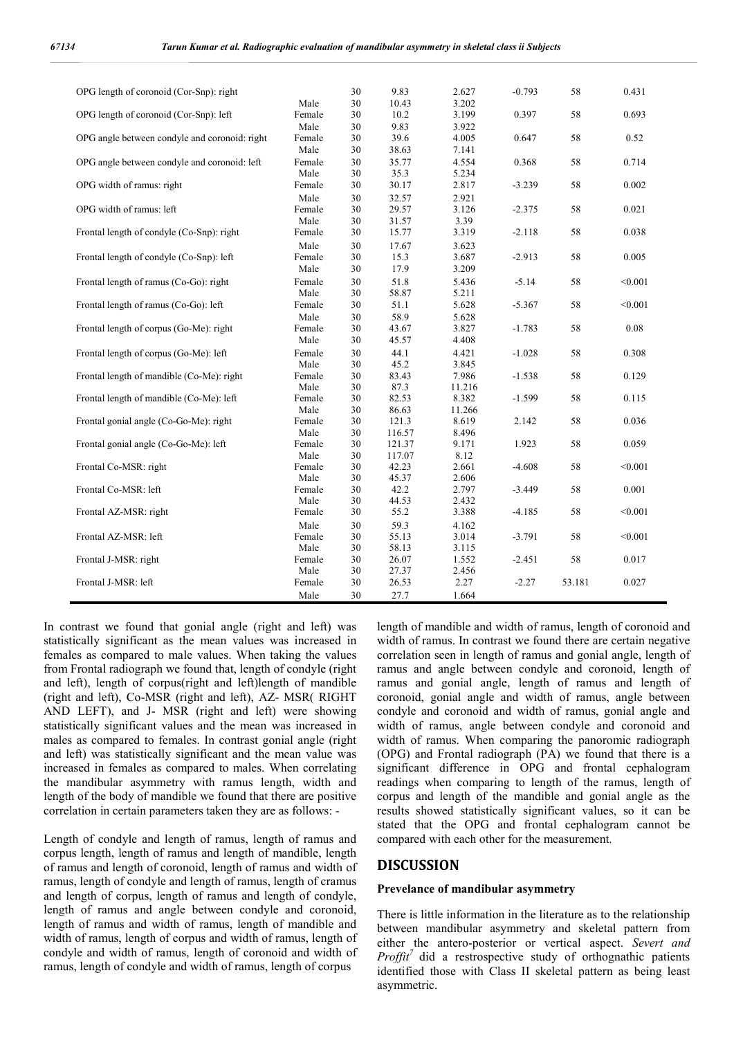| OPG length of coronoid (Cor-Snp): right       |                | 30       | 9.83           | 2.627         | $-0.793$ | 58     | 0.431   |
|-----------------------------------------------|----------------|----------|----------------|---------------|----------|--------|---------|
|                                               | Male           | 30       | 10.43          | 3.202         |          |        |         |
| OPG length of coronoid (Cor-Snp): left        | Female         | 30       | 10.2           | 3.199         | 0.397    | 58     | 0.693   |
|                                               | Male           | 30       | 9.83           | 3.922         |          |        |         |
| OPG angle between condyle and coronoid: right | Female         | 30       | 39.6           | 4.005         | 0.647    | 58     | 0.52    |
|                                               | Male           | 30       | 38.63          | 7.141         |          |        |         |
| OPG angle between condyle and coronoid: left  | Female         | 30       | 35.77          | 4.554         | 0.368    | 58     | 0.714   |
|                                               | Male           | 30       | 35.3           | 5.234         |          |        |         |
| OPG width of ramus: right                     | Female         | 30       | 30.17          | 2.817         | $-3.239$ | 58     | 0.002   |
|                                               | Male           |          | 32.57          | 2.921         |          |        |         |
|                                               |                | 30       |                |               |          |        |         |
| OPG width of ramus: left                      | Female<br>Male | 30<br>30 | 29.57          | 3.126<br>3.39 | $-2.375$ | 58     | 0.021   |
|                                               |                |          | 31.57          |               |          |        |         |
| Frontal length of condyle (Co-Snp): right     | Female         | 30       | 15.77          | 3.319         | $-2.118$ | 58     | 0.038   |
|                                               | Male           | 30       | 17.67          | 3.623         |          |        |         |
| Frontal length of condyle (Co-Snp): left      | Female         | 30       | 15.3           | 3.687         | $-2.913$ | 58     | 0.005   |
|                                               | Male           | 30       | 17.9           | 3.209         |          |        |         |
| Frontal length of ramus (Co-Go): right        | Female         | 30       | 51.8           | 5.436         | $-5.14$  | 58     | < 0.001 |
|                                               | Male           | 30       | 58.87          | 5.211         |          |        |         |
| Frontal length of ramus (Co-Go): left         | Female         | 30       | 51.1           | 5.628         | $-5.367$ | 58     | < 0.001 |
|                                               | Male           | 30       | 58.9           | 5.628         |          |        |         |
| Frontal length of corpus (Go-Me): right       | Female         | 30       | 43.67          | 3.827         | $-1.783$ | 58     | 0.08    |
|                                               | Male           | 30       | 45.57          | 4.408         |          |        |         |
| Frontal length of corpus (Go-Me): left        | Female         | 30       | 44.1           | 4.421         | $-1.028$ | 58     | 0.308   |
|                                               | Male           | 30       | 45.2           | 3.845         |          |        |         |
| Frontal length of mandible (Co-Me): right     | Female         | 30       | 83.43          | 7.986         | $-1.538$ | 58     | 0.129   |
|                                               | Male           | 30       | 87.3           | 11.216        |          |        |         |
| Frontal length of mandible (Co-Me): left      | Female         | 30       | 82.53          | 8.382         | $-1.599$ | 58     | 0.115   |
|                                               | Male           | 30       | 86.63          | 11.266        |          |        |         |
| Frontal gonial angle (Co-Go-Me): right        | Female         | 30       | 121.3          | 8.619         | 2.142    | 58     | 0.036   |
|                                               | Male           | 30       | 116.57         | 8.496         |          |        |         |
| Frontal gonial angle (Co-Go-Me): left         | Female         | 30       | 121.37         | 9.171         | 1.923    | 58     | 0.059   |
|                                               | Male           | 30       | 117.07         | 8.12          |          |        |         |
| Frontal Co-MSR: right                         | Female         | 30       | 42.23          | 2.661         | $-4.608$ | 58     | < 0.001 |
|                                               | Male           | 30       | 45.37          | 2.606         |          |        |         |
| Frontal Co-MSR: left                          | Female         | 30       | 42.2           | 2.797         | $-3.449$ | 58     | 0.001   |
|                                               | Male           | 30       | 44.53          | 2.432         |          |        |         |
| Frontal AZ-MSR: right                         | Female         | 30       | 55.2           | 3.388         | $-4.185$ | 58     | < 0.001 |
|                                               | Male           | 30       | 59.3           | 4.162         |          |        |         |
| Frontal AZ-MSR: left                          | Female         | 30       | 55.13          | 3.014         | $-3.791$ | 58     | < 0.001 |
|                                               | Male           | 30       | 58.13          | 3.115         |          |        |         |
|                                               |                |          |                | 1.552         |          |        |         |
| Frontal J-MSR: right                          | Female<br>Male | 30<br>30 | 26.07<br>27.37 | 2.456         | $-2.451$ | 58     | 0.017   |
| Frontal J-MSR: left                           |                | 30       |                |               |          | 53.181 | 0.027   |
|                                               | Female         |          | 26.53          | 2.27          | $-2.27$  |        |         |
|                                               | Male           | 30       | 27.7           | 1.664         |          |        |         |

In contrast we found that gonial angle (right and left) was statistically significant as the mean values was increased in females as compared to male values. When taking the values from Frontal radiograph we found that, length of condyle (right and left), length of corpus(right and left)length of mandible (right and left), Co-MSR (right and left), AZ- MSR( RIGHT AND LEFT), and J- MSR (right and left) were showing statistically significant values and the mean was increased in males as compared to females. In contrast gonial angle (right and left) was statistically significant and the mean value was increased in females as compared to males. When correlating the mandibular asymmetry with ramus length, width and length of the body of mandible we found that there are positive correlation in certain parameters taken they are as follows: -

Length of condyle and length of ramus, length of ramus and corpus length, length of ramus and length of mandible, length of ramus and length of coronoid, length of ramus and width of ramus, length of condyle and length of ramus, length of cramus and length of corpus, length of ramus and length of condyle, length of ramus and angle between condyle and coronoid, length of ramus and width of ramus, length of mandible and width of ramus, length of corpus and width of ramus, length of condyle and width of ramus, length of coronoid and width of ramus, length of condyle and width of ramus, length of corpus

length of mandible and width of ramus, length of coronoid and width of ramus. In contrast we found there are certain negative correlation seen in length of ramus and gonial angle, length of ramus and angle between condyle and coronoid, length of ramus and gonial angle, length of ramus and length of coronoid, gonial angle and width of ramus, angle between condyle and coronoid and width of ramus, gonial angle and width of ramus, angle between condyle and coronoid and width of ramus. When comparing the panoromic radiograph (OPG) and Frontal radiograph (PA) we found that there is a significant difference in OPG and frontal cephalogram readings when comparing to length of the ramus, length of corpus and length of the mandible and gonial angle as the results showed statistically significant values, so it can be stated that the OPG and frontal cephalogram cannot be compared with each other for the measurement.

### **DISCUSSION**

#### **Prevelance of mandibular asymmetry**

There is little information in the literature as to the relationship between mandibular asymmetry and skeletal pattern from either the antero-posterior or vertical aspect. *Severt and Proffit<sup>7</sup>* did a restrospective study of orthognathic patients identified those with Class II skeletal pattern as being least asymmetric.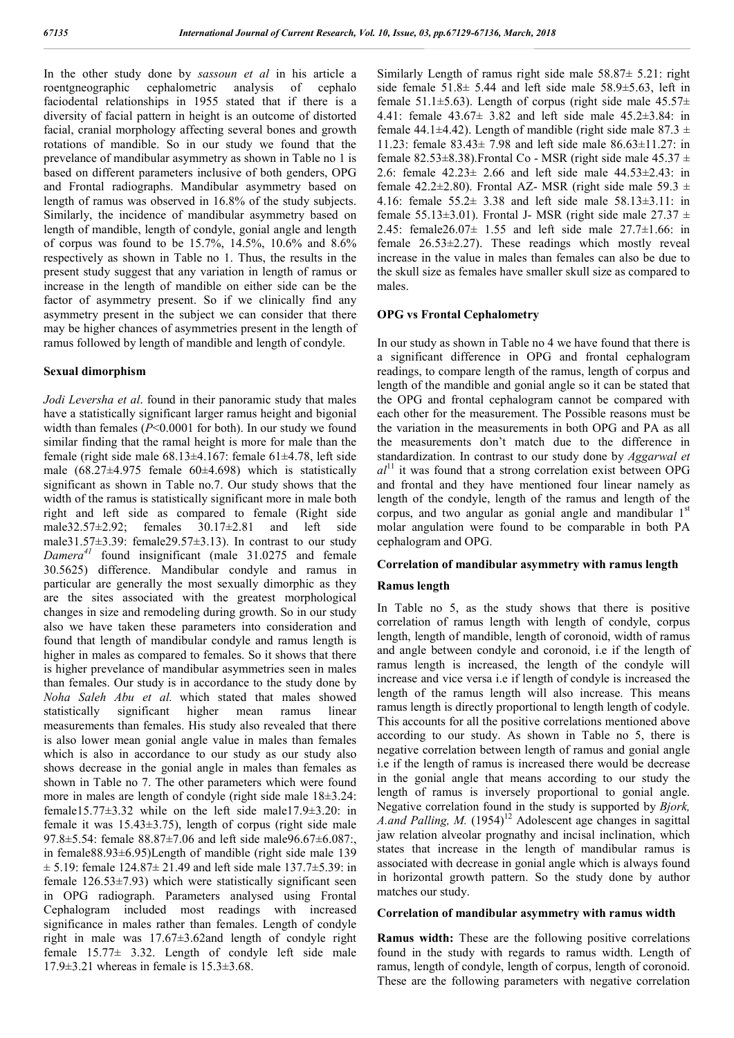In the other study done by *sassoun et al* in his article a roentgneographic cephalometric analysis of cephalo faciodental relationships in 1955 stated that if there is a diversity of facial pattern in height is an outcome of distorted facial, cranial morphology affecting several bones and growth rotations of mandible. So in our study we found that the prevelance of mandibular asymmetry as shown in Table no 1 is based on different parameters inclusive of both genders, OPG and Frontal radiographs. Mandibular asymmetry based on length of ramus was observed in 16.8% of the study subjects. Similarly, the incidence of mandibular asymmetry based on length of mandible, length of condyle, gonial angle and length of corpus was found to be 15.7%, 14.5%, 10.6% and 8.6% respectively as shown in Table no 1. Thus, the results in the present study suggest that any variation in length of ramus or increase in the length of mandible on either side can be the factor of asymmetry present. So if we clinically find any asymmetry present in the subject we can consider that there may be higher chances of asymmetries present in the length of ramus followed by length of mandible and length of condyle.

### **Sexual dimorphism**

*Jodi Leversha et al*. found in their panoramic study that males have a statistically significant larger ramus height and bigonial width than females (*P*<0.0001 for both). In our study we found similar finding that the ramal height is more for male than the female (right side male  $68.13\pm4.167$ : female  $61\pm4.78$ , left side male  $(68.27 \pm 4.975$  female  $60 \pm 4.698$ ) which is statistically significant as shown in Table no.7. Our study shows that the width of the ramus is statistically significant more in male both right and left side as compared to female (Right side male32.57±2.92; females 30.17±2.81 and left side male31.57±3.39: female29.57±3.13). In contrast to our study *Damera<sup>41</sup>* found insignificant (male 31.0275 and female 30.5625) difference. Mandibular condyle and ramus in particular are generally the most sexually dimorphic as they are the sites associated with the greatest morphological changes in size and remodeling during growth. So in our study also we have taken these parameters into consideration and found that length of mandibular condyle and ramus length is higher in males as compared to females. So it shows that there is higher prevelance of mandibular asymmetries seen in males than females. Our study is in accordance to the study done by *Noha Saleh Abu et al.* which stated that males showed statistically significant higher mean ramus linear measurements than females. His study also revealed that there is also lower mean gonial angle value in males than females which is also in accordance to our study as our study also shows decrease in the gonial angle in males than females as shown in Table no 7. The other parameters which were found more in males are length of condyle (right side male 18±3.24: female15.77±3.32 while on the left side male17.9±3.20: in female it was 15.43±3.75), length of corpus (right side male 97.8±5.54: female 88.87±7.06 and left side male96.67±6.087:, in female88.93±6.95)Length of mandible (right side male 139  $\pm$  5.19: female 124.87 $\pm$  21.49 and left side male 137.7 $\pm$ 5.39: in female  $126.53\pm7.93$ ) which were statistically significant seen in OPG radiograph. Parameters analysed using Frontal Cephalogram included most readings with increased significance in males rather than females. Length of condyle right in male was 17.67±3.62and length of condyle right female  $15.77 \pm 3.32$ . Length of condyle left side male  $17.9 \pm 3.21$  whereas in female is  $15.3 \pm 3.68$ .

Similarly Length of ramus right side male 58.87± 5.21: right side female  $51.8 \pm 5.44$  and left side male  $58.9 \pm 5.63$ , left in female 51.1 $\pm$ 5.63). Length of corpus (right side male 45.57 $\pm$ 4.41: female 43.67± 3.82 and left side male 45.2±3.84: in female 44.1 $\pm$ 4.42). Length of mandible (right side male 87.3  $\pm$ 11.23: female 83.43± 7.98 and left side male 86.63±11.27: in female  $82.53\pm8.38$ ). Frontal Co - MSR (right side male  $45.37\pm$ 2.6: female  $42.23 \pm 2.66$  and left side male  $44.53 \pm 2.43$ : in female  $42.2\pm2.80$ ). Frontal AZ-MSR (right side male  $59.3 \pm$ 4.16: female 55.2± 3.38 and left side male 58.13±3.11: in female 55.13 $\pm$ 3.01). Frontal J- MSR (right side male 27.37  $\pm$ 2.45: female26.07± 1.55 and left side male 27.7±1.66: in female 26.53±2.27). These readings which mostly reveal increase in the value in males than females can also be due to the skull size as females have smaller skull size as compared to males.

### **OPG vs Frontal Cephalometry**

In our study as shown in Table no 4 we have found that there is a significant difference in OPG and frontal cephalogram readings, to compare length of the ramus, length of corpus and length of the mandible and gonial angle so it can be stated that the OPG and frontal cephalogram cannot be compared with each other for the measurement. The Possible reasons must be the variation in the measurements in both OPG and PA as all the measurements don't match due to the difference in standardization. In contrast to our study done by *Aggarwal et*   $al<sup>11</sup>$  it was found that a strong correlation exist between OPG and frontal and they have mentioned four linear namely as length of the condyle, length of the ramus and length of the corpus, and two angular as gonial angle and mandibular  $1<sup>st</sup>$ molar angulation were found to be comparable in both PA cephalogram and OPG.

### **Correlation of mandibular asymmetry with ramus length**

### **Ramus length**

In Table no 5, as the study shows that there is positive correlation of ramus length with length of condyle, corpus length, length of mandible, length of coronoid, width of ramus and angle between condyle and coronoid, i.e if the length of ramus length is increased, the length of the condyle will increase and vice versa i.e if length of condyle is increased the length of the ramus length will also increase. This means ramus length is directly proportional to length length of codyle. This accounts for all the positive correlations mentioned above according to our study. As shown in Table no 5, there is negative correlation between length of ramus and gonial angle i.e if the length of ramus is increased there would be decrease in the gonial angle that means according to our study the length of ramus is inversely proportional to gonial angle. Negative correlation found in the study is supported by *Bjork, A.and Palling, M.*  $(1954)^{12}$  Adolescent age changes in sagittal jaw relation alveolar prognathy and incisal inclination, which states that increase in the length of mandibular ramus is associated with decrease in gonial angle which is always found in horizontal growth pattern. So the study done by author matches our study.

#### **Correlation of mandibular asymmetry with ramus width**

**Ramus width:** These are the following positive correlations found in the study with regards to ramus width. Length of ramus, length of condyle, length of corpus, length of coronoid. These are the following parameters with negative correlation